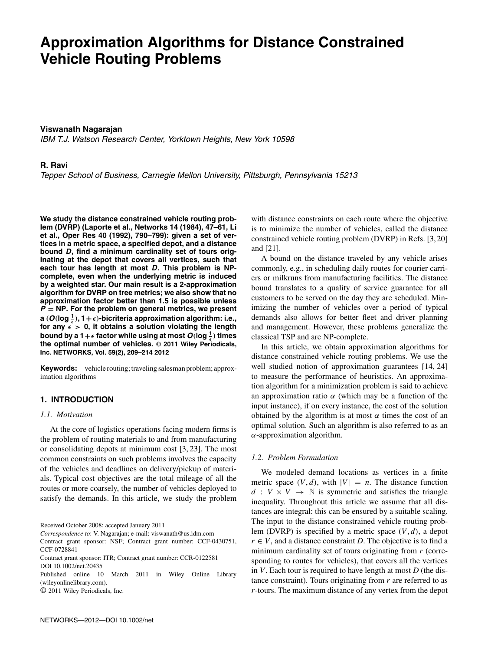# **Approximation Algorithms for Distance Constrained Vehicle Routing Problems**

# **Viswanath Nagarajan**

IBM T.J. Watson Research Center, Yorktown Heights, New York 10598

## **R. Ravi**

Tepper School of Business, Carnegie Mellon University, Pittsburgh, Pennsylvania 15213

**We study the distance constrained vehicle routing problem (DVRP) (Laporte et al., Networks 14 (1984), 47–61, Li et al., Oper Res 40 (1992), 790–799): given a set of vertices in a metric space, a specified depot, and a distance bound** *D***, find a minimum cardinality set of tours originating at the depot that covers all vertices, such that each tour has length at most** *D***. This problem is NPcomplete, even when the underlying metric is induced by a weighted star. Our main result is a 2-approximation algorithm for DVRP on tree metrics; we also show that no approximation factor better than 1.5 is possible unless** *P* **= NP. For the problem on general metrics, we present a**  $(O(\log \frac{1}{\epsilon}), 1 + \epsilon)$ -bicriteria approximation algorithm: i.e., for any  $\epsilon > 0$ , it obtains a solution violating the length bound by a 1+ $\epsilon$  factor while using at most  $O(\log \frac{1}{\epsilon})$  times **the optimal number of vehicles. © 2011 Wiley Periodicals, Inc. NETWORKS, Vol. 59(2), 209–214 2012**

**Keywords:** vehicle routing; traveling salesman problem; approximation algorithms

# **1. INTRODUCTION**

# *1.1. Motivation*

At the core of logistics operations facing modern firms is the problem of routing materials to and from manufacturing or consolidating depots at minimum cost [3, 23]. The most common constraints on such problems involves the capacity of the vehicles and deadlines on delivery/pickup of materials. Typical cost objectives are the total mileage of all the routes or more coarsely, the number of vehicles deployed to satisfy the demands. In this article, we study the problem

*Correspondence to*: V. Nagarajan; e-mail: viswanath@us.idm.com

with distance constraints on each route where the objective is to minimize the number of vehicles, called the distance constrained vehicle routing problem (DVRP) in Refs. [3, 20] and [21].

A bound on the distance traveled by any vehicle arises commonly, e.g., in scheduling daily routes for courier carriers or milkruns from manufacturing facilities. The distance bound translates to a quality of service guarantee for all customers to be served on the day they are scheduled. Minimizing the number of vehicles over a period of typical demands also allows for better fleet and driver planning and management. However, these problems generalize the classical TSP and are NP-complete.

In this article, we obtain approximation algorithms for distance constrained vehicle routing problems. We use the well studied notion of approximation guarantees [14, 24] to measure the performance of heuristics. An approximation algorithm for a minimization problem is said to achieve an approximation ratio  $\alpha$  (which may be a function of the input instance), if on every instance, the cost of the solution obtained by the algorithm is at most  $\alpha$  times the cost of an optimal solution. Such an algorithm is also referred to as an  $\alpha$ -approximation algorithm.

## *1.2. Problem Formulation*

We modeled demand locations as vertices in a finite metric space  $(V, d)$ , with  $|V| = n$ . The distance function  $d: V \times V \rightarrow \mathbb{N}$  is symmetric and satisfies the triangle inequality. Throughout this article we assume that all distances are integral: this can be ensured by a suitable scaling. The input to the distance constrained vehicle routing problem (DVRP) is specified by a metric space (*V*, *d*), a depot  $r \in V$ , and a distance constraint *D*. The objective is to find a minimum cardinality set of tours originating from *r* (corresponding to routes for vehicles), that covers all the vertices in *V*. Each tour is required to have length at most *D* (the distance constraint). Tours originating from *r* are referred to as *r*-tours. The maximum distance of any vertex from the depot

Received October 2008; accepted January 2011

Contract grant sponsor: NSF; Contract grant number: CCF-0430751, CCF-0728841

Contract grant sponsor: ITR; Contract grant number: CCR-0122581 DOI 10.1002/net.20435

Published online 10 March 2011 in Wiley Online Library (wileyonlinelibrary.com).

<sup>©</sup> 2011 Wiley Periodicals, Inc.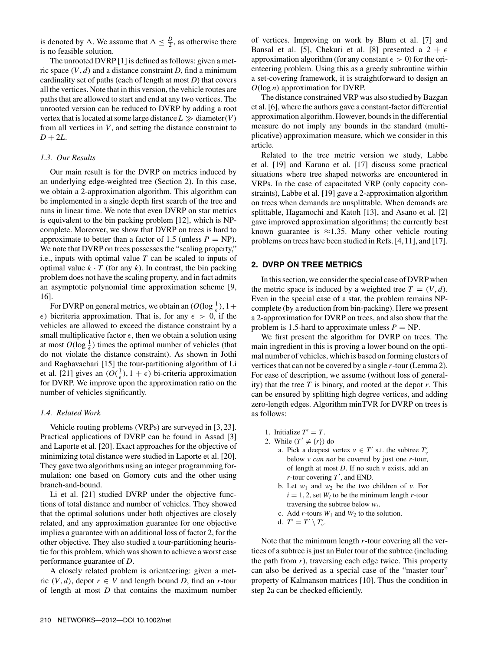is denoted by  $\Delta$ . We assume that  $\Delta \leq \frac{D}{2}$ , as otherwise there is no feasible solution.

The unrooted DVRP [1] is defined as follows: given a metric space  $(V, d)$  and a distance constraint *D*, find a minimum cardinality set of paths (each of length at most *D*) that covers all the vertices. Note that in this version, the vehicle routes are paths that are allowed to start and end at any two vertices. The unrooted version can be reduced to DVRP by adding a root vertex that is located at some large distance  $L \gg$  diameter(*V*) from all vertices in *V*, and setting the distance constraint to  $D + 2L$ .

#### *1.3. Our Results*

Our main result is for the DVRP on metrics induced by an underlying edge-weighted tree (Section 2). In this case, we obtain a 2-approximation algorithm. This algorithm can be implemented in a single depth first search of the tree and runs in linear time. We note that even DVRP on star metrics is equivalent to the bin packing problem [12], which is NPcomplete. Moreover, we show that DVRP on trees is hard to approximate to better than a factor of 1.5 (unless  $P = NP$ ). We note that DVRP on trees possesses the "scaling property," i.e., inputs with optimal value *T* can be scaled to inputs of optimal value  $k \cdot T$  (for any  $k$ ). In contrast, the bin packing problem does not have the scaling property, and in fact admits an asymptotic polynomial time approximation scheme [9, 16].

For DVRP on general metrics, we obtain an  $(O(\log \frac{1}{\epsilon}), 1 +$  $\epsilon$ ) bicriteria approximation. That is, for any  $\epsilon > 0$ , if the vehicles are allowed to exceed the distance constraint by a small multiplicative factor  $\epsilon$ , then we obtain a solution using at most  $O(\log \frac{1}{\epsilon})$  times the optimal number of vehicles (that do not violate the distance constraint). As shown in Jothi and Raghavachari [15] the tour-partitioning algorithm of Li et al. [21] gives an  $(O(\frac{1}{\epsilon}), 1 + \epsilon)$  bi-criteria approximation for DVRP. We improve upon the approximation ratio on the number of vehicles significantly.

#### *1.4. Related Work*

Vehicle routing problems (VRPs) are surveyed in [3, 23]. Practical applications of DVRP can be found in Assad [3] and Laporte et al. [20]. Exact approaches for the objective of minimizing total distance were studied in Laporte et al. [20]. They gave two algorithms using an integer programming formulation: one based on Gomory cuts and the other using branch-and-bound.

Li et al. [21] studied DVRP under the objective functions of total distance and number of vehicles. They showed that the optimal solutions under both objectives are closely related, and any approximation guarantee for one objective implies a guarantee with an additional loss of factor 2, for the other objective. They also studied a tour-partitioning heuristic for this problem, which was shown to achieve a worst case performance guarantee of *D*.

A closely related problem is orienteering: given a metric  $(V, d)$ , depot  $r \in V$  and length bound *D*, find an *r*-tour of length at most *D* that contains the maximum number of vertices. Improving on work by Blum et al. [7] and Bansal et al. [5], Chekuri et al. [8] presented a  $2 + \epsilon$ approximation algorithm (for any constant  $\epsilon > 0$ ) for the orienteering problem. Using this as a greedy subroutine within a set-covering framework, it is straightforward to design an *O*(log *n*) approximation for DVRP.

The distance constrained VRP was also studied by Bazgan et al. [6], where the authors gave a constant-factor differential approximation algorithm. However, bounds in the differential measure do not imply any bounds in the standard (multiplicative) approximation measure, which we consider in this article.

Related to the tree metric version we study, Labbe et al. [19] and Karuno et al. [17] discuss some practical situations where tree shaped networks are encountered in VRPs. In the case of capacitated VRP (only capacity constraints), Labbe et al. [19] gave a 2-approximation algorithm on trees when demands are unsplittable. When demands are splittable, Hagamochi and Katoh [13], and Asano et al. [2] gave improved approximation algorithms; the currently best known guarantee is  $\approx$ 1.35. Many other vehicle routing problems on trees have been studied in Refs. [4,11], and [17].

## **2. DVRP ON TREE METRICS**

In this section, we consider the special case of DVRP when the metric space is induced by a weighted tree  $T = (V, d)$ . Even in the special case of a star, the problem remains NPcomplete (by a reduction from bin-packing). Here we present a 2-approximation for DVRP on trees, and also show that the problem is 1.5-hard to approximate unless  $P = NP$ .

We first present the algorithm for DVRP on trees. The main ingredient in this is proving a lower bound on the optimal number of vehicles, which is based on forming clusters of vertices that can not be covered by a single *r*-tour (Lemma 2). For ease of description, we assume (without loss of generality) that the tree *T* is binary, and rooted at the depot *r*. This can be ensured by splitting high degree vertices, and adding zero-length edges. Algorithm minTVR for DVRP on trees is as follows:

- 1. Initialize  $T' = T$ .
- 2. While  $(T' \neq \{r\})$  do
	- a. Pick a deepest vertex  $v \in T'$  s.t. the subtree  $T'_v$ below *v can not* be covered by just one *r*-tour, of length at most *D*. If no such *v* exists, add an *r*-tour covering *T* , and END.
	- b. Let  $w_1$  and  $w_2$  be the two children of *v*. For  $i = 1, 2$ , set  $W_i$  to be the minimum length *r*-tour traversing the subtree below *wi*.
	- c. Add  $r$ -tours  $W_1$  and  $W_2$  to the solution.
	- d.  $T' = T' \setminus T'_{\nu}$ .

Note that the minimum length *r*-tour covering all the vertices of a subtree is just an Euler tour of the subtree (including the path from *r*), traversing each edge twice. This property can also be derived as a special case of the "master tour" property of Kalmanson matrices [10]. Thus the condition in step 2a can be checked efficiently.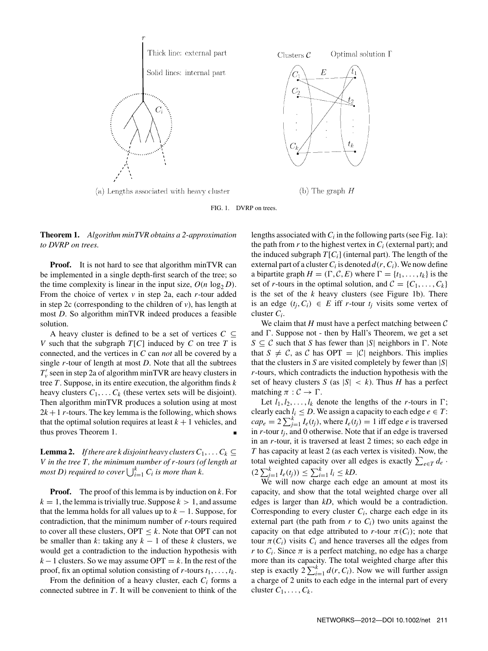

FIG. 1. DVRP on trees.

# **Theorem 1.** *Algorithm minTVR obtains a 2-approximation to DVRP on trees.*

**Proof.** It is not hard to see that algorithm minTVR can be implemented in a single depth-first search of the tree; so the time complexity is linear in the input size,  $O(n \log_2 D)$ . From the choice of vertex *v* in step 2a, each *r*-tour added in step 2c (corresponding to the children of *v*), has length at most *D*. So algorithm minTVR indeed produces a feasible solution.

A heavy cluster is defined to be a set of vertices  $C \subseteq$ *V* such that the subgraph *T*[*C*] induced by *C* on tree *T* is connected, and the vertices in *C* can *not* all be covered by a single *r*-tour of length at most *D*. Note that all the subtrees *T <sup>v</sup>* seen in step 2a of algorithm minTVR are heavy clusters in tree *T*. Suppose, in its entire execution, the algorithm finds *k* heavy clusters  $C_1, \ldots, C_k$  (these vertex sets will be disjoint). Then algorithm minTVR produces a solution using at most  $2k+1$  *r*-tours. The key lemma is the following, which shows that the optimal solution requires at least  $k + 1$  vehicles, and thus proves Theorem 1.

**Lemma 2.** *If there are k disjoint heavy clusters*  $C_1, \ldots, C_k \subseteq$ *V in the tree T, the minimum number of r-tours (of length at most D) required to cover*  $\bigcup_{i=1}^{k} C_i$  *is more than k.* 

**Proof.** The proof of this lemma is by induction on *k*. For  $k = 1$ , the lemma is trivially true. Suppose  $k > 1$ , and assume that the lemma holds for all values up to  $k - 1$ . Suppose, for contradiction, that the minimum number of *r*-tours required to cover all these clusters, OPT ≤ *k*. Note that OPT can not be smaller than  $k$ : taking any  $k - 1$  of these  $k$  clusters, we would get a contradiction to the induction hypothesis with  $k-1$  clusters. So we may assume OPT =  $k$ . In the rest of the proof, fix an optimal solution consisting of  $r$ -tours  $t_1, \ldots, t_k$ .

From the definition of a heavy cluster, each *Ci* forms a connected subtree in *T*. It will be convenient to think of the lengths associated with  $C_i$  in the following parts (see Fig. 1a): the path from  $r$  to the highest vertex in  $C_i$  (external part); and the induced subgraph  $T[C_i]$  (internal part). The length of the external part of a cluster  $C_i$  is denoted  $d(r, C_i)$ . We now define a bipartite graph  $H = (\Gamma, \mathcal{C}, E)$  where  $\Gamma = \{t_1, \ldots, t_k\}$  is the set of *r*-tours in the optimal solution, and  $C = \{C_1, \ldots, C_k\}$ is the set of the *k* heavy clusters (see Figure 1b). There is an edge  $(t_i, C_i) \in E$  iff *r*-tour  $t_i$  visits some vertex of cluster *Ci*.

We claim that  $H$  must have a perfect matching between  $C$ and  $\Gamma$ . Suppose not - then by Hall's Theorem, we get a set  $S \subseteq \mathcal{C}$  such that *S* has fewer than  $|S|$  neighbors in  $\Gamma$ . Note that  $S \neq C$ , as C has OPT = |C| neighbors. This implies that the clusters in *S* are visited completely by fewer than |*S*| *r*-tours, which contradicts the induction hypothesis with the set of heavy clusters *S* (as  $|S| < k$ ). Thus *H* has a perfect matching  $\pi : \mathcal{C} \to \Gamma$ .

Let  $l_1, l_2, \ldots, l_k$  denote the lengths of the *r*-tours in  $\Gamma$ ; clearly each  $l_i \leq D$ . We assign a capacity to each edge  $e \in T$ :  $cap_e = 2 \sum_{j=1}^{k} I_e(t_j)$ , where  $I_e(t_j) = 1$  iff edge *e* is traversed in *r*-tour *tj*, and 0 otherwise. Note that if an edge is traversed in an *r*-tour, it is traversed at least 2 times; so each edge in *T* has capacity at least 2 (as each vertex is visited). Now, the total weighted capacity over all edges is exactly  $\sum_{e \in T} d_e$ .  $(2 \sum_{j=1}^{k} I_e(t_j)) \leq \sum_{i=1}^{k} I_i \leq kD.$ 

We will now charge each edge an amount at most its capacity, and show that the total weighted charge over all edges is larger than *kD*, which would be a contradiction. Corresponding to every cluster *Ci*, charge each edge in its external part (the path from  $r$  to  $C_i$ ) two units against the capacity on that edge attributed to *r*-tour  $\pi(C_i)$ ; note that tour  $\pi$ (*C<sub>i</sub>*) visits *C<sub>i</sub>* and hence traverses all the edges from *r* to  $C_i$ . Since  $\pi$  is a perfect matching, no edge has a charge more than its capacity. The total weighted charge after this step is exactly  $2\sum_{i=1}^{k} d(r, C_i)$ . Now we will further assign a charge of 2 units to each edge in the internal part of every cluster  $C_1, \ldots, C_k$ .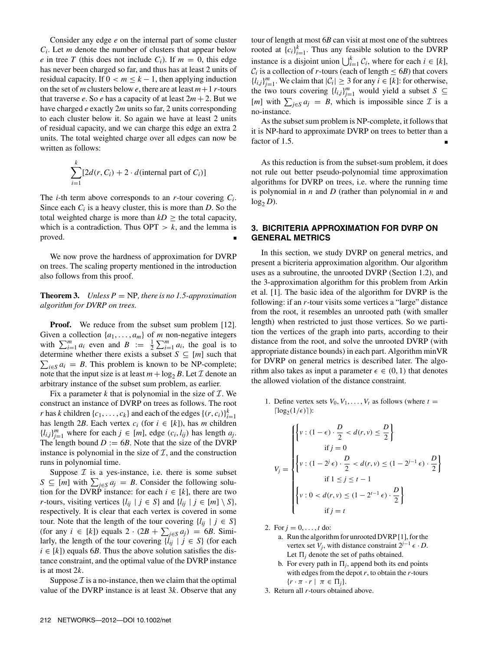Consider any edge *e* on the internal part of some cluster  $C_i$ . Let *m* denote the number of clusters that appear below *e* in tree *T* (this does not include  $C_i$ ). If  $m = 0$ , this edge has never been charged so far, and thus has at least 2 units of residual capacity. If  $0 < m \leq k - 1$ , then applying induction on the set of *m* clusters below *e*, there are at least  $m+1$  *r*-tours that traverse  $e$ . So  $e$  has a capacity of at least  $2m + 2$ . But we have charged *e* exactly 2*m* units so far, 2 units corresponding to each cluster below it. So again we have at least 2 units of residual capacity, and we can charge this edge an extra 2 units. The total weighted charge over all edges can now be written as follows:

$$
\sum_{i=1}^{k} [2d(r, C_i) + 2 \cdot d(\text{internal part of } C_i)]
$$

The *i*-th term above corresponds to an *r*-tour covering *Ci*. Since each *Ci* is a heavy cluster, this is more than *D*. So the total weighted charge is more than  $kD \geq$  the total capacity, which is a contradiction. Thus  $OPT > k$ , and the lemma is proved.

We now prove the hardness of approximation for DVRP on trees. The scaling property mentioned in the introduction also follows from this proof.

**Theorem 3.** *Unless P* = NP, there is no 1.5-approximation *algorithm for DVRP on trees.*

**Proof.** We reduce from the subset sum problem [12]. Given a collection  $\{a_1, \ldots, a_m\}$  of *m* non-negative integers with  $\sum_{i=1}^{m} a_i$  even and  $B := \frac{1}{2} \sum_{i=1}^{m} a_i$ , the goal is to determine whether there exists a subset  $S \subseteq [m]$  such that  $\sum_{i \in S} a_i = B$ . This problem is known to be NP-complete; note that the input size is at least  $m + \log_2 B$ . Let  $\mathcal I$  denote an arbitrary instance of the subset sum problem, as earlier.

Fix a parameter  $k$  that is polynomial in the size of  $\mathcal{I}$ . We construct an instance of DVRP on trees as follows. The root *r* has *k* children  $\{c_1, \ldots, c_k\}$  and each of the edges  $\{(r, c_i)\}_{i=1}^k$ has length 2*B*. Each vertex  $c_i$  (for  $i \in [k]$ ), has *m* children  $\{l_{i,j}\}_{j=1}^m$  where for each  $j \in [m]$ , edge  $(c_i, l_{ij})$  has length  $a_j$ . The length bound  $D := 6B$ . Note that the size of the DVRP instance is polynomial in the size of  $I$ , and the construction runs in polynomial time.

Suppose  $\mathcal I$  is a yes-instance, i.e. there is some subset  $S \subseteq [m]$  with  $\sum_{j \in S} a_j = B$ . Consider the following solution for the DVRP instance: for each  $i \in [k]$ , there are two *r*-tours, visiting vertices  $\{l_{ij} \mid j \in S\}$  and  $\{l_{ij} \mid j \in [m] \setminus S\}$ , respectively. It is clear that each vertex is covered in some tour. Note that the length of the tour covering  $\{l_{ii} \mid j \in S\}$ (for any  $i \in [k]$ ) equals  $2 \cdot (2B + \sum_{j \in S} a_j) = 6B$ . Similarly, the length of the tour covering  $\{l_{ij} | j \in S\}$  (for each  $i \in [k]$ ) equals 6*B*. Thus the above solution satisfies the distance constraint, and the optimal value of the DVRP instance is at most 2*k*.

Suppose  $\mathcal I$  is a no-instance, then we claim that the optimal value of the DVRP instance is at least 3*k*. Observe that any tour of length at most 6*B* can visit at most one of the subtrees rooted at  ${c_i}_{i=1}^k$ . Thus any feasible solution to the DVRP instance is a disjoint union  $\bigcup_{i=1}^{k} C_i$ , where for each  $i \in [k]$ ,  $C_i$  is a collection of *r*-tours (each of length  $\leq 6B$ ) that covers  ${l_i, j}_{j=1}^m$ . We claim that  $|\mathcal{C}_i| \geq 3$  for any  $i \in [k]$ : for otherwise, the two tours covering  $\{l_{i,j}\}_{j=1}^m$  would yield a subset  $S \subseteq$ [*m*] with  $\sum_{j \in S} a_j = B$ , which is impossible since  $\mathcal{I}$  is a no-instance.

As the subset sum problem is NP-complete, it follows that it is NP-hard to approximate DVRP on trees to better than a factor of 1.5.

As this reduction is from the subset-sum problem, it does not rule out better pseudo-polynomial time approximation algorithms for DVRP on trees, i.e. where the running time is polynomial in *n* and *D* (rather than polynomial in *n* and  $log_2 D$ ).

# **3. BICRITERIA APPROXIMATION FOR DVRP ON GENERAL METRICS**

In this section, we study DVRP on general metrics, and present a bicriteria approximation algorithm. Our algorithm uses as a subroutine, the unrooted DVRP (Section 1.2), and the 3-approximation algorithm for this problem from Arkin et al. [1]. The basic idea of the algorithm for DVRP is the following: if an *r*-tour visits some vertices a "large" distance from the root, it resembles an unrooted path (with smaller length) when restricted to just those vertices. So we partition the vertices of the graph into parts, according to their distance from the root, and solve the unrooted DVRP (with appropriate distance bounds) in each part. Algorithm minVR for DVRP on general metrics is described later. The algorithm also takes as input a parameter  $\epsilon \in (0, 1)$  that denotes the allowed violation of the distance constraint.

1. Define vertex sets  $V_0, V_1, \ldots, V_t$  as follows (where  $t =$  $\lceil \log_2(1/\epsilon) \rceil$ ):

$$
V_j = \begin{cases} \left\{ v : (1 - \epsilon) \cdot \frac{D}{2} < d(r, v) \le \frac{D}{2} \right\} \\ \text{if } j = 0 \\ \left\{ v : (1 - 2^j \epsilon) \cdot \frac{D}{2} < d(r, v) \le (1 - 2^{j-1} \epsilon) \cdot \frac{D}{2} \right\} \\ \text{if } 1 \le j \le t - 1 \\ \left\{ v : 0 < d(r, v) \le (1 - 2^{t-1} \epsilon) \cdot \frac{D}{2} \right\} \\ \text{if } j = t \end{cases}
$$

2. For  $j = 0, ..., t$  do:

- a. Run the algorithm for unrooted DVRP [1], for the vertex set *V<sub>j</sub>*, with distance constraint  $2^{j-1} \epsilon \cdot D$ . Let  $\Pi_i$  denote the set of paths obtained.
- b. For every path in  $\Pi_i$ , append both its end points with edges from the depot *r*, to obtain the *r*-tours  $\{r \cdot \pi \cdot r \mid \pi \in \Pi_i\}.$
- 3. Return all *r*-tours obtained above.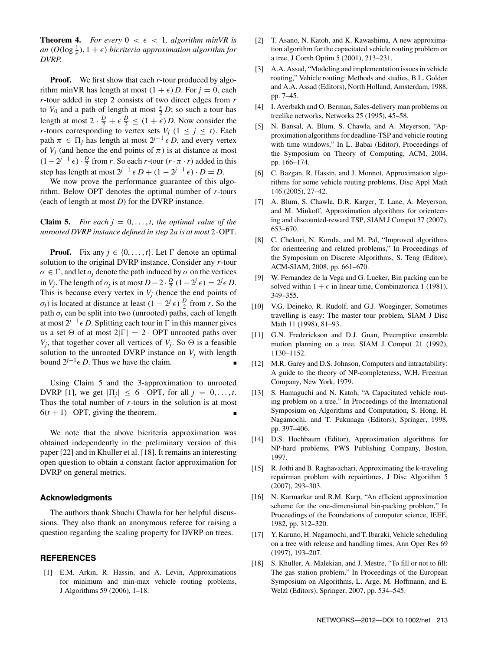**Theorem 4.** *For every*  $0 \leq \epsilon \leq 1$ , *algorithm minVR is* an  $(O(\log \frac{1}{\epsilon}), 1 + \epsilon)$  bicriteria approximation algorithm for *DVRP.*

**Proof.** We first show that each *r*-tour produced by algorithm minVR has length at most  $(1 + \epsilon) D$ . For  $j = 0$ , each *r*-tour added in step 2 consists of two direct edges from *r* to  $V_0$  and a path of length at most  $\frac{\epsilon}{2}$  *D*; so such a tour has length at most  $2 \cdot \frac{D}{2} + \epsilon \frac{D}{2} \le (1 + \epsilon) D$ . Now consider the *r*-tours corresponding to vertex sets  $V_j$  ( $1 \le j \le t$ ). Each path  $\pi \in \Pi_i$  has length at most  $2^{j-1} \in D$ , and every vertex of  $V_i$  (and hence the end points of  $\pi$ ) is at distance at most  $(1-2^{j-1} \epsilon) \cdot \frac{D}{2}$  from *r*. So each *r*-tour  $(r \cdot \pi \cdot r)$  added in this step has length at most  $2^{j-1} \epsilon D + (1 - 2^{j-1} \epsilon) \cdot D = D$ .

We now prove the performance guarantee of this algorithm. Below OPT denotes the optimal number of *r*-tours (each of length at most *D*) for the DVRP instance.

**Claim 5.** *For each*  $j = 0, \ldots, t$ , the optimal value of the *unrooted DVRP instance defined in step 2a is at most* 2·OPT*.*

**Proof.** Fix any  $j \in \{0, \ldots, t\}$ . Let  $\Gamma$  denote an optimal solution to the original DVRP instance. Consider any *r*-tour  $\sigma \in \Gamma$ , and let  $\sigma_j$  denote the path induced by  $\sigma$  on the vertices in *V<sub>j</sub>*. The length of  $\sigma_j$  is at most  $D-2 \cdot \frac{D}{2}(1-2^j \epsilon) = 2^j \epsilon D$ . This is because every vertex in  $V_j$  (hence the end points of *σ<sub>j</sub>*) is located at distance at least  $(1 − 2<sup>j</sup> ∈)$   $\frac{D}{2}$  from *r*. So the path  $\sigma_i$  can be split into two (unrooted) paths, each of length at most  $2^{j-1}$  *∈ D*. Splitting each tour in  $\Gamma$  in this manner gives us a set  $\Theta$  of at most  $2|\Gamma| = 2 \cdot \text{OPT}$  unrooted paths over  $V_i$ , that together cover all vertices of  $V_i$ . So  $\Theta$  is a feasible solution to the unrooted DVRP instance on  $V_i$  with length bound  $2^{j-1} \in D$ . Thus we have the claim.

Using Claim 5 and the 3-approximation to unrooted DVRP [1], we get  $|\Pi_i| \leq 6$  · OPT, for all  $j = 0, \ldots, t$ . Thus the total number of *r*-tours in the solution is at most  $6(t+1)$  · OPT, giving the theorem.

We note that the above bicriteria approximation was obtained independently in the preliminary version of this paper [22] and in Khuller et al. [18]. It remains an interesting open question to obtain a constant factor approximation for DVRP on general metrics.

## **Acknowledgments**

The authors thank Shuchi Chawla for her helpful discussions. They also thank an anonymous referee for raising a question regarding the scaling property for DVRP on trees.

## **REFERENCES**

[1] E.M. Arkin, R. Hassin, and A. Levin, Approximations for minimum and min-max vehicle routing problems, J Algorithms 59 (2006), 1–18.

- [2] T. Asano, N. Katoh, and K. Kawashima, A new approximation algorithm for the capacitated vehicle routing problem on a tree, J Comb Optim 5 (2001), 213–231.
- [3] A.A. Assad, "Modeling and implementation issues in vehicle routing," Vehicle routing: Methods and studies, B.L. Golden and A.A. Assad (Editors), North Holland, Amsterdam, 1988, pp. 7–45.
- [4] I. Averbakh and O. Berman, Sales-delivery man problems on treelike networks, Networks 25 (1995), 45–58.
- [5] N. Bansal, A. Blum, S. Chawla, and A. Meyerson, "Approximation algorithms for deadline-TSP and vehicle routing with time windows," In L. Babai (Editor), Proceedings of the Symposium on Theory of Computing, ACM, 2004, pp. 166–174.
- [6] C. Bazgan, R. Hassin, and J. Monnot, Approximation algorithms for some vehicle routing problems, Disc Appl Math 146 (2005), 27–42.
- [7] A. Blum, S. Chawla, D.R. Karger, T. Lane, A. Meyerson, and M. Minkoff, Approximation algorithms for orienteering and discounted-reward TSP, SIAM J Comput 37 (2007), 653–670.
- [8] C. Chekuri, N. Korula, and M. Pal, "Improved algorithms for orienteering and related problems," In Proceedings of the Symposium on Discrete Algorithms, S. Teng (Editor), ACM-SIAM, 2008, pp. 661–670.
- [9] W. Fernandez de la Vega and G. Lueker, Bin packing can be solved within  $1 + \epsilon$  in linear time, Combinatorica 1 (1981), 349–355.
- [10] V.G. Deineko, R. Rudolf, and G.J. Woeginger, Sometimes travelling is easy: The master tour problem, SIAM J Disc Math 11 (1998), 81–93.
- [11] G.N. Frederickson and D.J. Guan, Preemptive ensemble motion planning on a tree, SIAM J Comput 21 (1992), 1130–1152.
- [12] M.R. Garey and D.S. Johnson, Computers and intractability: A guide to the theory of NP-completeness, W.H. Freeman Company, New York, 1979.
- [13] S. Hamaguchi and N. Katoh, "A Capacitated vehicle routing problem on a tree," In Proceedings of the International Symposium on Algorithms and Computation, S. Hong, H. Nagamochi, and T. Fukunaga (Editors), Springer, 1998, pp. 397–406.
- [14] D.S. Hochbaum (Editor), Approximation algorithms for NP-hard problems, PWS Publishing Company, Boston, 1997.
- [15] R. Jothi and B. Raghavachari, Approximating the k-traveling repairman problem with repairtimes, J Disc Algorithm 5 (2007), 293–303.
- [16] N. Karmarkar and R.M. Karp, "An efficient approximation scheme for the one-dimensional bin-packing problem," In Proceedings of the Foundations of computer science, IEEE, 1982, pp. 312–320.
- [17] Y. Karuno, H. Nagamochi, and T. Ibaraki, Vehicle scheduling on a tree with release and handling times, Ann Oper Res 69 (1997), 193–207.
- [18] S. Khuller, A. Malekian, and J. Mestre, "To fill or not to fill: The gas station problem," In Proceedings of the European Symposium on Algorithms, L. Arge, M. Hoffmann, and E. Welzl (Editors), Springer, 2007, pp. 534–545.